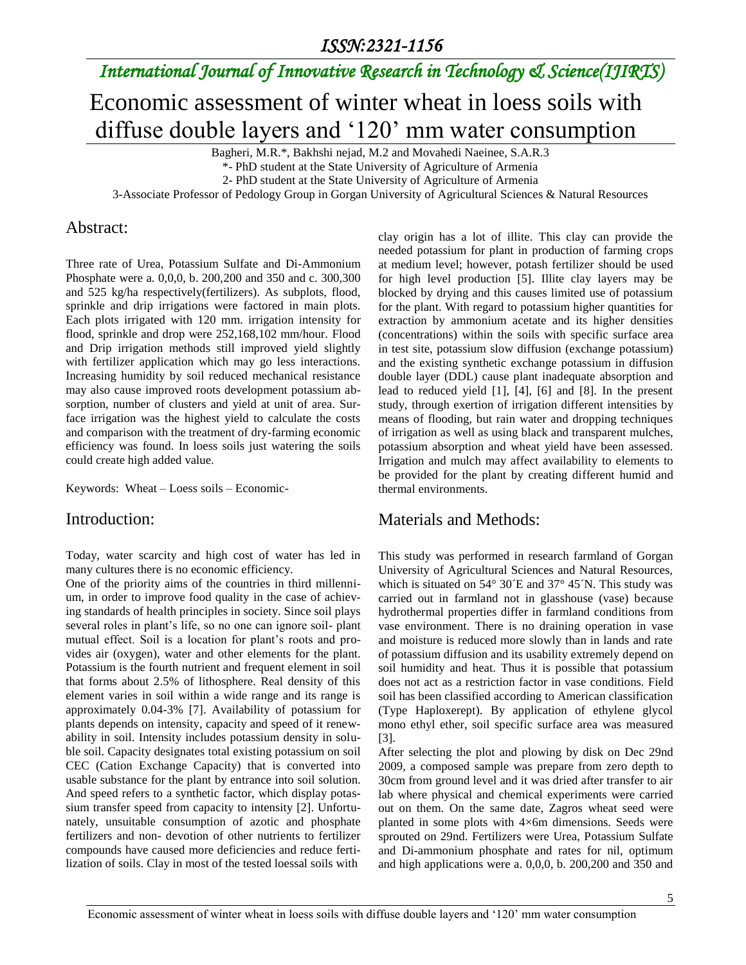# *International Journal of Innovative Research in Technology & Science(IJIRTS)*

# Economic assessment of winter wheat in loess soils with diffuse double layers and '120' mm water consumption

Bagheri, M.R.\*, Bakhshi nejad, M.2 and Movahedi Naeinee, S.A.R.3

\*- PhD student at the State University of Agriculture of Armenia

2- PhD student at the State University of Agriculture of Armenia

3-Associate Professor of Pedology Group in Gorgan University of Agricultural Sciences & Natural Resources

#### Abstract:

Three rate of Urea, Potassium Sulfate and Di-Ammonium Phosphate were a. 0,0,0, b. 200,200 and 350 and c. 300,300 and 525 kg/ha respectively(fertilizers). As subplots, flood, sprinkle and drip irrigations were factored in main plots. Each plots irrigated with 120 mm. irrigation intensity for flood, sprinkle and drop were 252,168,102 mm/hour. Flood and Drip irrigation methods still improved yield slightly with fertilizer application which may go less interactions. Increasing humidity by soil reduced mechanical resistance may also cause improved roots development potassium absorption, number of clusters and yield at unit of area. Surface irrigation was the highest yield to calculate the costs and comparison with the treatment of dry-farming economic efficiency was found. In loess soils just watering the soils could create high added value.

Keywords: Wheat – Loess soils – Economic-

#### Introduction:

Today, water scarcity and high cost of water has led in many cultures there is no economic efficiency.

One of the priority aims of the countries in third millennium, in order to improve food quality in the case of achieving standards of health principles in society. Since soil plays several roles in plant's life, so no one can ignore soil- plant mutual effect. Soil is a location for plant's roots and provides air (oxygen), water and other elements for the plant. Potassium is the fourth nutrient and frequent element in soil that forms about 2.5% of lithosphere. Real density of this element varies in soil within a wide range and its range is approximately 0.04-3% [7]. Availability of potassium for plants depends on intensity, capacity and speed of it renewability in soil. Intensity includes potassium density in soluble soil. Capacity designates total existing potassium on soil CEC (Cation Exchange Capacity) that is converted into usable substance for the plant by entrance into soil solution. And speed refers to a synthetic factor, which display potassium transfer speed from capacity to intensity [2]. Unfortunately, unsuitable consumption of azotic and phosphate fertilizers and non- devotion of other nutrients to fertilizer compounds have caused more deficiencies and reduce fertilization of soils. Clay in most of the tested loessal soils with

clay origin has a lot of illite. This clay can provide the needed potassium for plant in production of farming crops at medium level; however, potash fertilizer should be used for high level production [5]. Illite clay layers may be blocked by drying and this causes limited use of potassium for the plant. With regard to potassium higher quantities for extraction by ammonium acetate and its higher densities (concentrations) within the soils with specific surface area in test site, potassium slow diffusion (exchange potassium) and the existing synthetic exchange potassium in diffusion double layer (DDL) cause plant inadequate absorption and lead to reduced yield [1], [4], [6] and [8]. In the present study, through exertion of irrigation different intensities by means of flooding, but rain water and dropping techniques of irrigation as well as using black and transparent mulches, potassium absorption and wheat yield have been assessed. Irrigation and mulch may affect availability to elements to be provided for the plant by creating different humid and thermal environments.

#### Materials and Methods:

This study was performed in research farmland of Gorgan University of Agricultural Sciences and Natural Resources, which is situated on 54° 30<sup>°</sup>E and 37° 45<sup>°</sup>N. This study was carried out in farmland not in glasshouse (vase) because hydrothermal properties differ in farmland conditions from vase environment. There is no draining operation in vase and moisture is reduced more slowly than in lands and rate of potassium diffusion and its usability extremely depend on soil humidity and heat. Thus it is possible that potassium does not act as a restriction factor in vase conditions. Field soil has been classified according to American classification (Type Haploxerept). By application of ethylene glycol mono ethyl ether, soil specific surface area was measured [3].

After selecting the plot and plowing by disk on Dec 29nd 2009, a composed sample was prepare from zero depth to 30cm from ground level and it was dried after transfer to air lab where physical and chemical experiments were carried out on them. On the same date, Zagros wheat seed were planted in some plots with 4×6m dimensions. Seeds were sprouted on 29nd. Fertilizers were Urea, Potassium Sulfate and Di-ammonium phosphate and rates for nil, optimum and high applications were a. 0,0,0, b. 200,200 and 350 and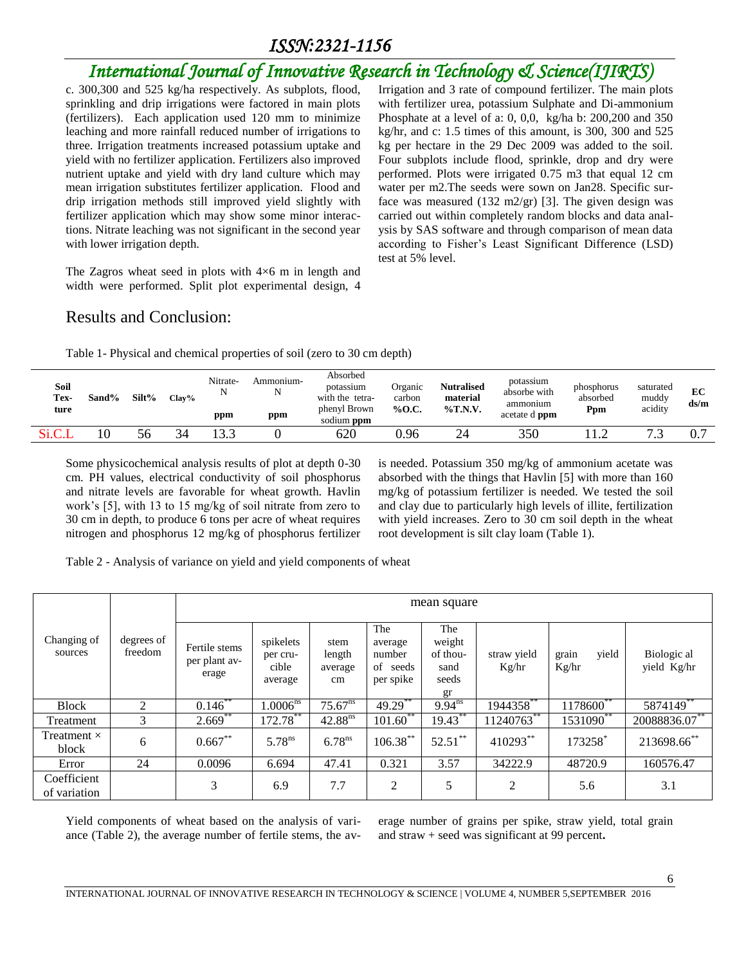# *International Journal of Innovative Research in Technology & Science(IJIRTS)*

c. 300,300 and 525 kg/ha respectively. As subplots, flood, sprinkling and drip irrigations were factored in main plots (fertilizers). Each application used 120 mm to minimize leaching and more rainfall reduced number of irrigations to three. Irrigation treatments increased potassium uptake and yield with no fertilizer application. Fertilizers also improved nutrient uptake and yield with dry land culture which may mean irrigation substitutes fertilizer application. Flood and drip irrigation methods still improved yield slightly with fertilizer application which may show some minor interactions. Nitrate leaching was not significant in the second year with lower irrigation depth.

The Zagros wheat seed in plots with  $4\times6$  m in length and width were performed. Split plot experimental design, 4 Irrigation and 3 rate of compound fertilizer. The main plots with fertilizer urea, potassium Sulphate and Di-ammonium Phosphate at a level of a: 0, 0,0, kg/ha b: 200,200 and 350 kg/hr, and c: 1.5 times of this amount, is 300, 300 and 525 kg per hectare in the 29 Dec 2009 was added to the soil. Four subplots include flood, sprinkle, drop and dry were performed. Plots were irrigated 0.75 m3 that equal 12 cm water per m2.The seeds were sown on Jan28. Specific surface was measured (132 m2/gr) [3]. The given design was carried out within completely random blocks and data analysis by SAS software and through comparison of mean data according to Fisher's Least Significant Difference (LSD) test at 5% level.

### Results and Conclusion:

Table 1- Physical and chemical properties of soil (zero to 30 cm depth)

| <b>Soil</b><br>Tex-<br>ture | Sand% | Silt% | $Clav\%$ | Nitrate-<br>ppm | Ammonium-<br>ppm | Absorbed<br>potassium<br>with the tetra-<br>phenyl Brown<br>sodium <b>ppm</b> | Organic<br>carbon<br>% $0.0$ . | <b>Nutralised</b><br>material<br>$\%$ T.N.V. | potassium<br>absorbe with<br>ammonium<br>acetate d <b>ppm</b> | phosphorus<br>absorbed<br>Ppm | saturated<br>muddy<br>acidity | EC<br>ds/m |
|-----------------------------|-------|-------|----------|-----------------|------------------|-------------------------------------------------------------------------------|--------------------------------|----------------------------------------------|---------------------------------------------------------------|-------------------------------|-------------------------------|------------|
| Si.C.                       | 10    | 56    | 34       |                 |                  | 620                                                                           | 0.96                           | 24                                           | 350                                                           |                               | $\cdot$ $\cdot$               |            |

Some physicochemical analysis results of plot at depth 0-30 cm. PH values, electrical conductivity of soil phosphorus and nitrate levels are favorable for wheat growth. Havlin work's [5], with 13 to 15 mg/kg of soil nitrate from zero to 30 cm in depth, to produce 6 tons per acre of wheat requires nitrogen and phosphorus 12 mg/kg of phosphorus fertilizer is needed. Potassium 350 mg/kg of ammonium acetate was absorbed with the things that Havlin [5] with more than 160 mg/kg of potassium fertilizer is needed. We tested the soil and clay due to particularly high levels of illite, fertilization with yield increases. Zero to 30 cm soil depth in the wheat root development is silt clay loam (Table 1).

Table 2 - Analysis of variance on yield and yield components of wheat

|                             | degrees of<br>freedom |                                         | mean square                               |                                 |                                                   |                                                  |                      |                         |                               |  |  |  |  |  |
|-----------------------------|-----------------------|-----------------------------------------|-------------------------------------------|---------------------------------|---------------------------------------------------|--------------------------------------------------|----------------------|-------------------------|-------------------------------|--|--|--|--|--|
| Changing of<br>sources      |                       | Fertile stems<br>per plant av-<br>erage | spikelets<br>per cru-<br>cible<br>average | stem<br>length<br>average<br>cm | The<br>average<br>number<br>of seeds<br>per spike | The<br>weight<br>of thou-<br>sand<br>seeds<br>gr | straw yield<br>Kg/hr | vield<br>grain<br>Kg/hr | Biologic al<br>yield Kg/hr    |  |  |  |  |  |
| <b>Block</b>                | 2                     | $0.146$ **                              | $1.0006^{ns}$                             | $75.67^{ns}$                    | $49.29***$                                        | $9.94^{ns}$                                      | $1944358$ **         | $1178600^{**}$          | 5874149                       |  |  |  |  |  |
| Treatment                   | 3                     | $2.669$ **                              | $172.78***$                               | 42.88 <sup>ns</sup>             | $101.60$ **                                       | 19.43**                                          | $11240763$ **        | $1531090^{***}$         | $20088836.\overline{07}^{**}$ |  |  |  |  |  |
| Treatment $\times$<br>block | 6                     | $0.667***$                              | $5.78^{ns}$                               | 6.78 <sup>ns</sup>              | $106.38***$                                       | $52.51***$                                       | 410293**             | 173258*                 | 213698.66**                   |  |  |  |  |  |
| Error                       | 24                    | 0.0096                                  | 6.694                                     | 47.41                           | 0.321                                             | 3.57                                             | 34222.9              | 48720.9                 | 160576.47                     |  |  |  |  |  |
| Coefficient<br>of variation |                       | 3                                       | 6.9                                       | 7.7                             | 2                                                 | 5                                                | 2                    | 5.6                     | 3.1                           |  |  |  |  |  |

Yield components of wheat based on the analysis of variance (Table 2), the average number of fertile stems, the average number of grains per spike, straw yield, total grain and straw + seed was significant at 99 percent**.**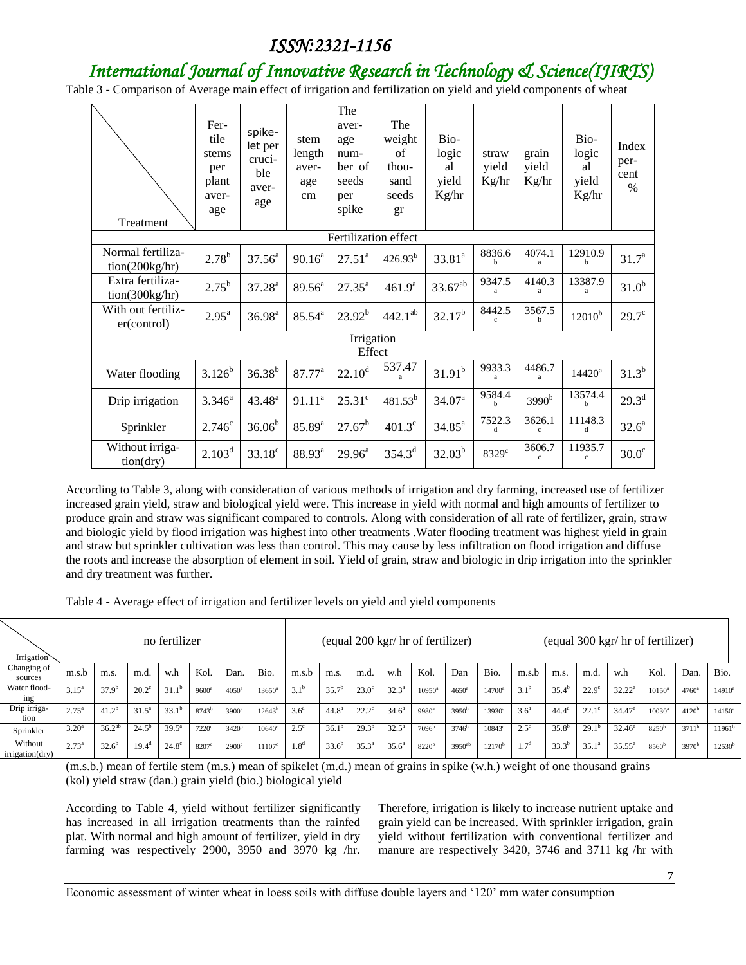# *International Journal of Innovative Research in Technology & Science(IJIRTS)*

Table 3 - Comparison of Average main effect of irrigation and fertilization on yield and yield components of wheat

| Treatment                           | Fer-<br>tile<br>stems<br>per<br>plant<br>aver-<br>age | spike-<br>let per<br>cruci-<br>ble<br>aver-<br>age | stem<br>length<br>aver-<br>age<br>cm | The<br>aver-<br>age<br>num-<br>ber of<br>seeds<br>per<br>spike | The<br>weight<br>of<br>thou-<br>sand<br>seeds<br>gr | Bio-<br>logic<br>al<br>yield<br>Kg/hr | straw<br>yield<br>Kg/hr | grain<br>yield<br>Kg/hr | Bio-<br>logic<br>al<br>yield<br>Kg/hr | Index<br>per-<br>cent<br>$\frac{0}{0}$ |
|-------------------------------------|-------------------------------------------------------|----------------------------------------------------|--------------------------------------|----------------------------------------------------------------|-----------------------------------------------------|---------------------------------------|-------------------------|-------------------------|---------------------------------------|----------------------------------------|
|                                     |                                                       |                                                    |                                      | Fertilization effect                                           |                                                     |                                       |                         |                         |                                       |                                        |
| Normal fertiliza-<br>tion(200kg/hr) | $2.78^{b}$                                            | $37.56^a$                                          | $90.16^a$                            | $27.51^{a}$                                                    | $426.93^{b}$                                        | $33.81^a$                             | 8836.6<br>h             | 4074.1<br>a             | 12910.9<br>h                          | 31.7 <sup>a</sup>                      |
| Extra fertiliza-<br>tion(300kg/hr)  | $2.75^{b}$                                            | $37.28^{a}$                                        | $89.56^{\circ}$                      | $27.35^{a}$                                                    | 461.9 <sup>a</sup>                                  | $33.67^{ab}$                          | 9347.5<br>a             | 4140.3<br>a             | 13387.9                               | 31.0 <sup>b</sup>                      |
| With out fertiliz-<br>er(control)   | $2.95^{\mathrm{a}}$                                   | $36.98^{a}$                                        | $85.54^{a}$                          | $23.92^{b}$                                                    | $442.1^{ab}$                                        | $32.17^{b}$                           | 8442.5<br>$\mathbf{c}$  | 3567.5<br>h             | $12010^{b}$                           | $29.7^\circ$                           |
|                                     |                                                       |                                                    |                                      | Irrigation                                                     |                                                     |                                       |                         |                         |                                       |                                        |
|                                     |                                                       |                                                    |                                      | Effect                                                         |                                                     |                                       |                         |                         |                                       |                                        |
| Water flooding                      | $3.126^{b}$                                           | $36.38^{b}$                                        | 87.77 <sup>a</sup>                   | $22.10^d$                                                      | 537.47<br>a                                         | $31.91^{b}$                           | 9933.3<br>a             | 4486.7<br>a             | $14420^a$                             | $31.3^{b}$                             |
| Drip irrigation                     | $3.346^{a}$                                           | $43.48^{a}$                                        | $91.11^a$                            | $25.31^{\circ}$                                                | $481.53^{b}$                                        | 34.07 <sup>a</sup>                    | 9584.4<br>h             | 3990 <sup>b</sup>       | 13574.4<br>h                          | $29.3^d$                               |
| Sprinkler                           | $2.746^{\circ}$                                       | $36.06^{b}$                                        | $85.89^{a}$                          | $27.67^b$                                                      | $401.3^{\circ}$                                     | $34.85^{\text{a}}$                    | 7522.3<br>d             | 3626.1<br>$\ddot{c}$    | 11148.3<br>d                          | $32.6^a$                               |
| Without irriga-<br>tion(dry)        | 2.103 <sup>d</sup>                                    | $33.18^c$                                          | 88.93 <sup>a</sup>                   | $29.96^a$                                                      | $354.3^{d}$                                         | $32.03^{b}$                           | 8329 <sup>c</sup>       | 3606.7<br>$\mathbf{c}$  | 11935.7<br>$\mathbf{c}$               | $30.0^\circ$                           |

According to Table 3, along with consideration of various methods of irrigation and dry farming, increased use of fertilizer increased grain yield, straw and biological yield were. This increase in yield with normal and high amounts of fertilizer to produce grain and straw was significant compared to controls. Along with consideration of all rate of fertilizer, grain, straw and biologic yield by flood irrigation was highest into other treatments .Water flooding treatment was highest yield in grain and straw but sprinkler cultivation was less than control. This may cause by less infiltration on flood irrigation and diffuse the roots and increase the absorption of element in soil. Yield of grain, straw and biologic in drip irrigation into the sprinkler and dry treatment was further.

Table 4 - Average effect of irrigation and fertilizer levels on yield and yield components

| Irrigation                 |                | no fertilizer<br>Kol.<br>Dan.<br>w.h<br>m.d.<br>m.s.<br>$37.9^{b}$<br>$20.2^{\circ}$<br>$31.1^{b}$<br>$9600^{\rm a}$<br>$4050^{\rm a}$<br>$41.2^{b}$<br>$31.5^{\circ}$<br>$33.1^{\circ}$<br>8743 <sup>b</sup><br>$3900^a$<br>$36.2^{ab}$<br>$39.5^{\circ}$<br>$24.5^{\rm b}$<br>3420 <sup>b</sup><br>$7220$ <sup>d</sup> |          |              |                   |              |                 | (equal 200 kgr/ hr of fertilizer) |                   |                |                   |                   |                      | (equal 300 kgr/ hr of fertilizer) |                  |                |                |                    |                   |                   |             |
|----------------------------|----------------|--------------------------------------------------------------------------------------------------------------------------------------------------------------------------------------------------------------------------------------------------------------------------------------------------------------------------|----------|--------------|-------------------|--------------|-----------------|-----------------------------------|-------------------|----------------|-------------------|-------------------|----------------------|-----------------------------------|------------------|----------------|----------------|--------------------|-------------------|-------------------|-------------|
| Changing of<br>sources     | m.s.b          |                                                                                                                                                                                                                                                                                                                          |          |              |                   |              | Bio.            | m.s.b                             | m.s.              | m.d.           | w.h               | Kol.              | Dan                  | Bio.                              | m.s.b            | m.s.           | m.d.           | w.h                | Kol.              | Dan.              | Bio.        |
| Water flood-<br>ing        | $3.15^{a}$     |                                                                                                                                                                                                                                                                                                                          |          |              |                   |              | $13650^{\rm a}$ | $3.1^{b}$                         | 35.7 <sup>b</sup> | $23.0^\circ$   | $32.3^{\circ}$    | $10950^{\rm a}$   | $4650$ <sup>a</sup>  | 14700 <sup>a</sup>                | $3.1^{b}$        | $35.4^{\rm b}$ | $22.9^\circ$   | $32.22^a$          | $10150^{\circ}$   | $4760^{\rm a}$    | $14910^a$   |
| Drip irriga-<br>tion       | $2.75^{\circ}$ |                                                                                                                                                                                                                                                                                                                          |          |              |                   |              | $12643^b$       | 3.6 <sup>a</sup>                  | 44.8 <sup>a</sup> | $22.2^{\circ}$ | $34.6^{\circ}$    | $9980^{\circ}$    | $3950^{b}$           | $13930^a$                         | 3.6 <sup>a</sup> | $44.4^a$       | $22.1^\circ$   | 34.47 <sup>a</sup> | $10030^a$         | 4120 <sup>b</sup> | $14150^a$   |
| Sprinkler                  | $3.20^a$       |                                                                                                                                                                                                                                                                                                                          |          |              |                   |              | $10640^\circ$   | $2.5^{\circ}$                     | $36.1^{\circ}$    | $29.3^{b}$     | $32.5^{\circ}$    | $7096^{\rm b}$    | $3746^b$             | $10843^{\circ}$                   | $2.5^{\circ}$    | $35.8^{b}$     | $29.1^{\rm b}$ | $32.46^{\circ}$    | 8250 <sup>b</sup> | $3711^b$          | $11961^b$   |
| Without<br>irrigation(dry) | $2.73^{a}$     | $32.6^{\rm b}$                                                                                                                                                                                                                                                                                                           | $19.4^d$ | $24.8^\circ$ | 8207 <sup>c</sup> | $2900^\circ$ | $11107^{\circ}$ | 1.8 <sup>d</sup>                  | $33.6^{b}$        | $35.3^{a}$     | 35.6 <sup>a</sup> | 8220 <sup>b</sup> | $3950$ <sup>ab</sup> | $12170^{b}$                       | 7 <sup>d</sup>   | $33.3^{b}$     | $35.1^a$       | $35.55^{\circ}$    | 8560 <sup>b</sup> | 3970 <sup>b</sup> | $12530^{b}$ |

(m.s.b.) mean of fertile stem (m.s.) mean of spikelet (m.d.) mean of grains in spike (w.h.) weight of one thousand grains (kol) yield straw (dan.) grain yield (bio.) biological yield

According to Table 4, yield without fertilizer significantly has increased in all irrigation treatments than the rainfed plat. With normal and high amount of fertilizer, yield in dry farming was respectively 2900, 3950 and 3970 kg /hr.

Therefore, irrigation is likely to increase nutrient uptake and grain yield can be increased. With sprinkler irrigation, grain yield without fertilization with conventional fertilizer and manure are respectively 3420, 3746 and 3711 kg /hr with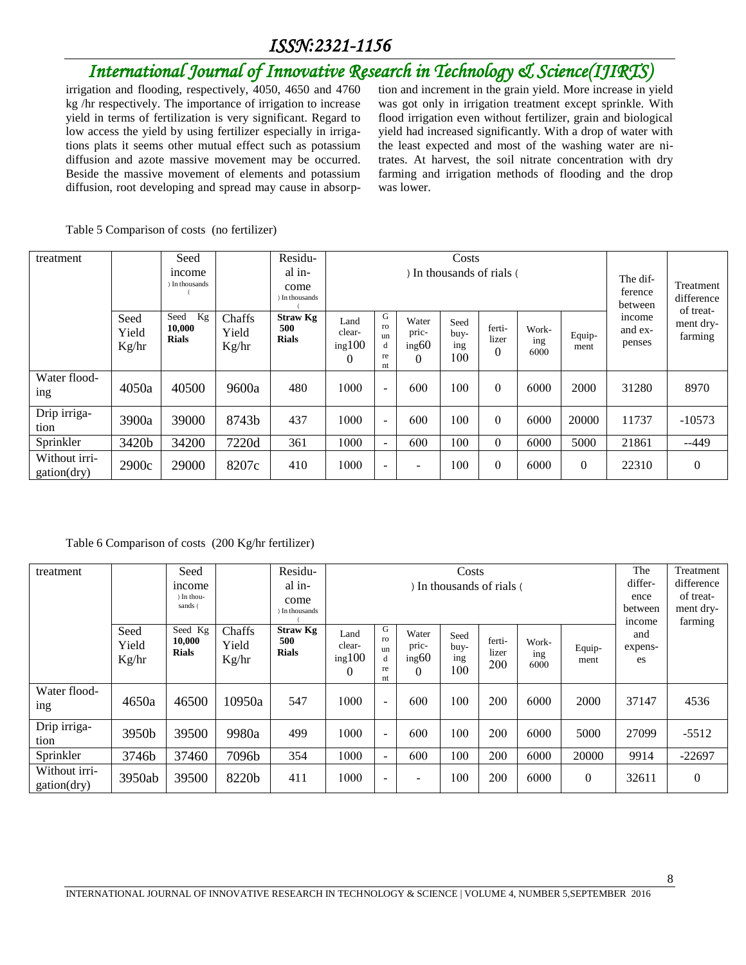# *International Journal of Innovative Research in Technology & Science(IJIRTS)*

irrigation and flooding, respectively, 4050, 4650 and 4760 kg /hr respectively. The importance of irrigation to increase yield in terms of fertilization is very significant. Regard to low access the yield by using fertilizer especially in irrigations plats it seems other mutual effect such as potassium diffusion and azote massive movement may be occurred. Beside the massive movement of elements and potassium diffusion, root developing and spread may cause in absorption and increment in the grain yield. More increase in yield was got only in irrigation treatment except sprinkle. With flood irrigation even without fertilizer, grain and biological yield had increased significantly. With a drop of water with the least expected and most of the washing water are nitrates. At harvest, the soil nitrate concentration with dry farming and irrigation methods of flooding and the drop was lower.

|  | Table 5 Comparison of costs (no fertilizer) |
|--|---------------------------------------------|
|  |                                             |

| treatment                    |                        | Seed                                 |                          | Residu-                                |                                      |                                |                                     |                            |                             |                      |                |                                |                                      |
|------------------------------|------------------------|--------------------------------------|--------------------------|----------------------------------------|--------------------------------------|--------------------------------|-------------------------------------|----------------------------|-----------------------------|----------------------|----------------|--------------------------------|--------------------------------------|
|                              |                        | income<br>) In thousands             |                          | al in-<br>come<br>In thousands         |                                      |                                |                                     |                            | In thousands of rials (     |                      |                | The dif-<br>ference<br>between | Treatment<br>difference<br>of treat- |
|                              | Seed<br>Yield<br>Kg/hr | Kg<br>Seed<br>10,000<br><b>Rials</b> | Chaffs<br>Yield<br>Kg/hr | <b>Straw Kg</b><br>500<br><b>Rials</b> | Land<br>clear-<br>ing100<br>$\theta$ | G<br>ro<br>un<br>d<br>re<br>nt | Water<br>pric-<br>ing60<br>$\Omega$ | Seed<br>buy-<br>ing<br>100 | ferti-<br>lizer<br>$\theta$ | Work-<br>ing<br>6000 | Equip-<br>ment | income<br>and ex-<br>penses    | ment dry-<br>farming                 |
| Water flood-<br>ing          | 4050a                  | 40500                                | 9600a                    | 480                                    | 1000                                 | $\sim$                         | 600                                 | 100                        | $\theta$                    | 6000                 | 2000           | 31280                          | 8970                                 |
| Drip irriga-<br>tion         | 3900a                  | 39000                                | 8743b                    | 437                                    | 1000                                 | $\overline{a}$                 | 600                                 | 100                        | $\theta$                    | 6000                 | 20000          | 11737                          | $-10573$                             |
| Sprinkler                    | 3420b                  | 34200                                | 7220d                    | 361                                    | 1000                                 | $\sim$                         | 600                                 | 100                        | $\theta$                    | 6000                 | 5000           | 21861                          | $-449$                               |
| Without irri-<br>gation(dry) | 2900c                  | 29000                                | 8207c                    | 410                                    | 1000                                 | $\blacksquare$                 | $\overline{\phantom{0}}$            | 100                        | $\boldsymbol{0}$            | 6000                 | $\Omega$       | 22310                          | $\overline{0}$                       |

#### Table 6 Comparison of costs (200 Kg/hr fertilizer)

| treatment                    |                        | Seed                              |                          | Residu-                                |                                      |                                |                                     | Costs                      |                        |                      |                | The                  | Treatment            |
|------------------------------|------------------------|-----------------------------------|--------------------------|----------------------------------------|--------------------------------------|--------------------------------|-------------------------------------|----------------------------|------------------------|----------------------|----------------|----------------------|----------------------|
|                              |                        | <i>n</i> come                     |                          | al in-                                 |                                      |                                | differ-                             | difference                 |                        |                      |                |                      |                      |
|                              |                        | ) In thou-<br>sands (             |                          | come                                   |                                      |                                |                                     |                            |                        |                      |                | ence                 | of treat-            |
|                              |                        |                                   |                          | In thousands                           |                                      |                                |                                     |                            |                        |                      |                | between<br>income    | ment dry-<br>farming |
|                              | Seed<br>Yield<br>Kg/hr | Seed Kg<br>10,000<br><b>Rials</b> | Chaffs<br>Yield<br>Kg/hr | <b>Straw Kg</b><br>500<br><b>Rials</b> | Land<br>clear-<br>ing100<br>$\theta$ | G<br>ro<br>un<br>d<br>re<br>nt | Water<br>pric-<br>ing60<br>$\Omega$ | Seed<br>buy-<br>ing<br>100 | ferti-<br>lizer<br>200 | Work-<br>ing<br>6000 | Equip-<br>ment | and<br>expens-<br>es |                      |
| Water flood-<br>ing          | 4650a                  | 46500                             | 10950a                   | 547                                    | 1000                                 | $\sim$                         | 600                                 | 100                        | 200                    | 6000                 | 2000           | 37147                | 4536                 |
| Drip irriga-<br>tion         | 3950b                  | 39500                             | 9980a                    | 499                                    | 1000                                 | $\overline{\phantom{a}}$       | 600                                 | 100                        | 200                    | 6000                 | 5000           | 27099                | $-5512$              |
| Sprinkler                    | 3746b                  | 37460                             | 7096b                    | 354                                    | 1000                                 | $\sim$                         | 600                                 | 100                        | 200                    | 6000                 | 20000          | 9914                 | $-22697$             |
| Without irri-<br>gation(dry) | 3950ab                 | 39500                             | 8220b                    | 411                                    | 1000                                 | $\sim$                         | $\overline{\phantom{a}}$            | 100                        | 200                    | 6000                 | $\Omega$       | 32611                | $\overline{0}$       |